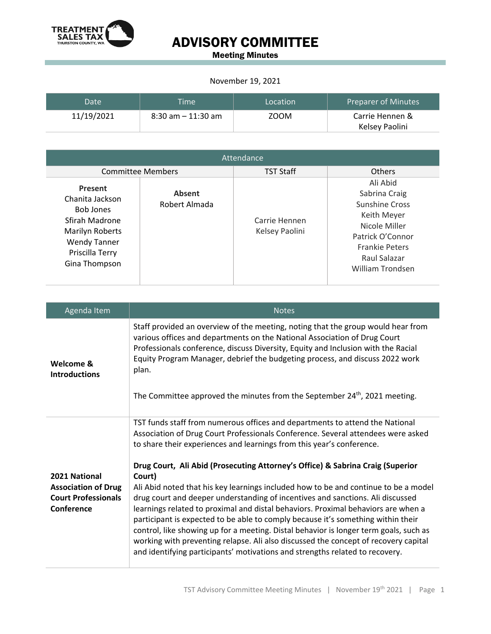

Meeting Minutes

#### November 19, 2021

| Date <sup>1</sup> | <b>Time</b>           | Location | <b>Preparer of Minutes</b> |
|-------------------|-----------------------|----------|----------------------------|
| 11/19/2021        | $8:30$ am $-11:30$ am | ZOOM     | Carrie Hennen &            |
|                   |                       |          | Kelsey Paolini             |

| Attendance                                                                                                                                            |                                |                                 |                                                                                                                                                                     |
|-------------------------------------------------------------------------------------------------------------------------------------------------------|--------------------------------|---------------------------------|---------------------------------------------------------------------------------------------------------------------------------------------------------------------|
| <b>Committee Members</b>                                                                                                                              |                                | <b>TST Staff</b>                | <b>Others</b>                                                                                                                                                       |
| <b>Present</b><br>Chanita Jackson<br><b>Bob Jones</b><br>Sfirah Madrone<br>Marilyn Roberts<br><b>Wendy Tanner</b><br>Priscilla Terry<br>Gina Thompson | <b>Absent</b><br>Robert Almada | Carrie Hennen<br>Kelsey Paolini | Ali Abid<br>Sabrina Craig<br><b>Sunshine Cross</b><br>Keith Meyer<br>Nicole Miller<br>Patrick O'Connor<br><b>Frankie Peters</b><br>Raul Salazar<br>William Trondsen |

| Agenda Item                                 | <b>Notes</b>                                                                                                                                                                                                                                                                                                                                                                                                                                                                                                            |
|---------------------------------------------|-------------------------------------------------------------------------------------------------------------------------------------------------------------------------------------------------------------------------------------------------------------------------------------------------------------------------------------------------------------------------------------------------------------------------------------------------------------------------------------------------------------------------|
| Welcome &<br><b>Introductions</b>           | Staff provided an overview of the meeting, noting that the group would hear from<br>various offices and departments on the National Association of Drug Court<br>Professionals conference, discuss Diversity, Equity and Inclusion with the Racial<br>Equity Program Manager, debrief the budgeting process, and discuss 2022 work<br>plan.                                                                                                                                                                             |
|                                             | The Committee approved the minutes from the September 24 <sup>th</sup> , 2021 meeting.                                                                                                                                                                                                                                                                                                                                                                                                                                  |
|                                             | TST funds staff from numerous offices and departments to attend the National<br>Association of Drug Court Professionals Conference. Several attendees were asked<br>to share their experiences and learnings from this year's conference.                                                                                                                                                                                                                                                                               |
|                                             | Drug Court, Ali Abid (Prosecuting Attorney's Office) & Sabrina Craig (Superior                                                                                                                                                                                                                                                                                                                                                                                                                                          |
| 2021 National<br><b>Association of Drug</b> | Court)<br>Ali Abid noted that his key learnings included how to be and continue to be a model                                                                                                                                                                                                                                                                                                                                                                                                                           |
| <b>Court Professionals</b><br>Conference    | drug court and deeper understanding of incentives and sanctions. Ali discussed<br>learnings related to proximal and distal behaviors. Proximal behaviors are when a<br>participant is expected to be able to comply because it's something within their<br>control, like showing up for a meeting. Distal behavior is longer term goals, such as<br>working with preventing relapse. Ali also discussed the concept of recovery capital<br>and identifying participants' motivations and strengths related to recovery. |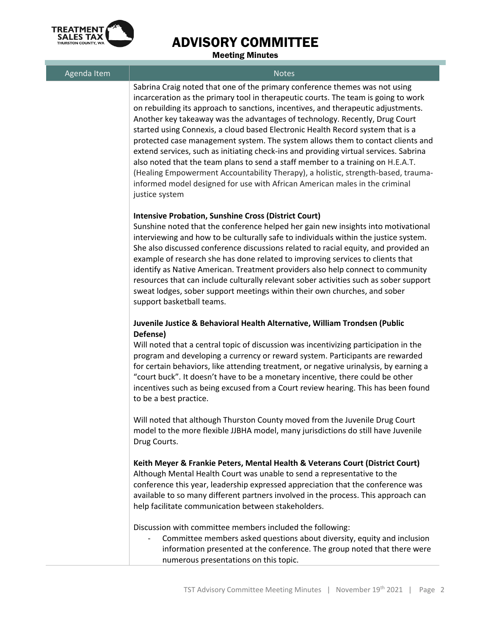

Meeting Minutes

| Agenda Item | <br><b>Notes</b>                                                                                                                                                                                                                                                                                                                                                                                                                                                                                                                                                                                                                                                                                                                                                                                                                                                              |
|-------------|-------------------------------------------------------------------------------------------------------------------------------------------------------------------------------------------------------------------------------------------------------------------------------------------------------------------------------------------------------------------------------------------------------------------------------------------------------------------------------------------------------------------------------------------------------------------------------------------------------------------------------------------------------------------------------------------------------------------------------------------------------------------------------------------------------------------------------------------------------------------------------|
|             | Sabrina Craig noted that one of the primary conference themes was not using<br>incarceration as the primary tool in therapeutic courts. The team is going to work<br>on rebuilding its approach to sanctions, incentives, and therapeutic adjustments.<br>Another key takeaway was the advantages of technology. Recently, Drug Court<br>started using Connexis, a cloud based Electronic Health Record system that is a<br>protected case management system. The system allows them to contact clients and<br>extend services, such as initiating check-ins and providing virtual services. Sabrina<br>also noted that the team plans to send a staff member to a training on H.E.A.T.<br>(Healing Empowerment Accountability Therapy), a holistic, strength-based, trauma-<br>informed model designed for use with African American males in the criminal<br>justice system |
|             | <b>Intensive Probation, Sunshine Cross (District Court)</b><br>Sunshine noted that the conference helped her gain new insights into motivational<br>interviewing and how to be culturally safe to individuals within the justice system.<br>She also discussed conference discussions related to racial equity, and provided an<br>example of research she has done related to improving services to clients that<br>identify as Native American. Treatment providers also help connect to community<br>resources that can include culturally relevant sober activities such as sober support<br>sweat lodges, sober support meetings within their own churches, and sober<br>support basketball teams.                                                                                                                                                                       |
|             | Juvenile Justice & Behavioral Health Alternative, William Trondsen (Public<br>Defense)<br>Will noted that a central topic of discussion was incentivizing participation in the<br>program and developing a currency or reward system. Participants are rewarded<br>for certain behaviors, like attending treatment, or negative urinalysis, by earning a<br>"court buck". It doesn't have to be a monetary incentive, there could be other<br>incentives such as being excused from a Court review hearing. This has been found<br>to be a best practice.<br>Will noted that although Thurston County moved from the Juvenile Drug Court                                                                                                                                                                                                                                      |
|             | model to the more flexible JJBHA model, many jurisdictions do still have Juvenile<br>Drug Courts.<br>Keith Meyer & Frankie Peters, Mental Health & Veterans Court (District Court)<br>Although Mental Health Court was unable to send a representative to the<br>conference this year, leadership expressed appreciation that the conference was<br>available to so many different partners involved in the process. This approach can<br>help facilitate communication between stakeholders.                                                                                                                                                                                                                                                                                                                                                                                 |
|             | Discussion with committee members included the following:<br>Committee members asked questions about diversity, equity and inclusion<br>information presented at the conference. The group noted that there were<br>numerous presentations on this topic.                                                                                                                                                                                                                                                                                                                                                                                                                                                                                                                                                                                                                     |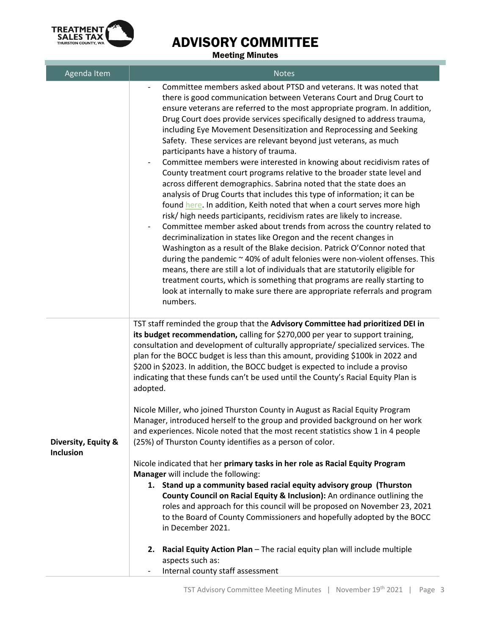

Meeting Minutes

| Agenda Item                             | <b>Notes</b>                                                                                                                                                                                                                                                                                                                                                                                                                                                                                                                                                                                                                                                                                                                                                                                                                                                                                                                                                                                                                                                                                                                                                                                                                                                                                                                                                                                                                                                                                                                   |
|-----------------------------------------|--------------------------------------------------------------------------------------------------------------------------------------------------------------------------------------------------------------------------------------------------------------------------------------------------------------------------------------------------------------------------------------------------------------------------------------------------------------------------------------------------------------------------------------------------------------------------------------------------------------------------------------------------------------------------------------------------------------------------------------------------------------------------------------------------------------------------------------------------------------------------------------------------------------------------------------------------------------------------------------------------------------------------------------------------------------------------------------------------------------------------------------------------------------------------------------------------------------------------------------------------------------------------------------------------------------------------------------------------------------------------------------------------------------------------------------------------------------------------------------------------------------------------------|
|                                         | Committee members asked about PTSD and veterans. It was noted that<br>there is good communication between Veterans Court and Drug Court to<br>ensure veterans are referred to the most appropriate program. In addition,<br>Drug Court does provide services specifically designed to address trauma,<br>including Eye Movement Desensitization and Reprocessing and Seeking<br>Safety. These services are relevant beyond just veterans, as much<br>participants have a history of trauma.<br>Committee members were interested in knowing about recidivism rates of<br>County treatment court programs relative to the broader state level and<br>across different demographics. Sabrina noted that the state does an<br>analysis of Drug Courts that includes this type of information; it can be<br>found here. In addition, Keith noted that when a court serves more high<br>risk/ high needs participants, recidivism rates are likely to increase.<br>Committee member asked about trends from across the country related to<br>decriminalization in states like Oregon and the recent changes in<br>Washington as a result of the Blake decision. Patrick O'Connor noted that<br>during the pandemic ~ 40% of adult felonies were non-violent offenses. This<br>means, there are still a lot of individuals that are statutorily eligible for<br>treatment courts, which is something that programs are really starting to<br>look at internally to make sure there are appropriate referrals and program<br>numbers. |
| Diversity, Equity &<br><b>Inclusion</b> | TST staff reminded the group that the Advisory Committee had prioritized DEI in<br>its budget recommendation, calling for \$270,000 per year to support training,<br>consultation and development of culturally appropriate/ specialized services. The<br>plan for the BOCC budget is less than this amount, providing \$100k in 2022 and<br>\$200 in \$2023. In addition, the BOCC budget is expected to include a proviso<br>indicating that these funds can't be used until the County's Racial Equity Plan is<br>adopted.<br>Nicole Miller, who joined Thurston County in August as Racial Equity Program<br>Manager, introduced herself to the group and provided background on her work<br>and experiences. Nicole noted that the most recent statistics show 1 in 4 people<br>(25%) of Thurston County identifies as a person of color.<br>Nicole indicated that her primary tasks in her role as Racial Equity Program<br>Manager will include the following:                                                                                                                                                                                                                                                                                                                                                                                                                                                                                                                                                          |
|                                         | 1. Stand up a community based racial equity advisory group (Thurston<br>County Council on Racial Equity & Inclusion): An ordinance outlining the<br>roles and approach for this council will be proposed on November 23, 2021<br>to the Board of County Commissioners and hopefully adopted by the BOCC<br>in December 2021.                                                                                                                                                                                                                                                                                                                                                                                                                                                                                                                                                                                                                                                                                                                                                                                                                                                                                                                                                                                                                                                                                                                                                                                                   |
|                                         | Racial Equity Action Plan - The racial equity plan will include multiple<br>2.<br>aspects such as:<br>Internal county staff assessment                                                                                                                                                                                                                                                                                                                                                                                                                                                                                                                                                                                                                                                                                                                                                                                                                                                                                                                                                                                                                                                                                                                                                                                                                                                                                                                                                                                         |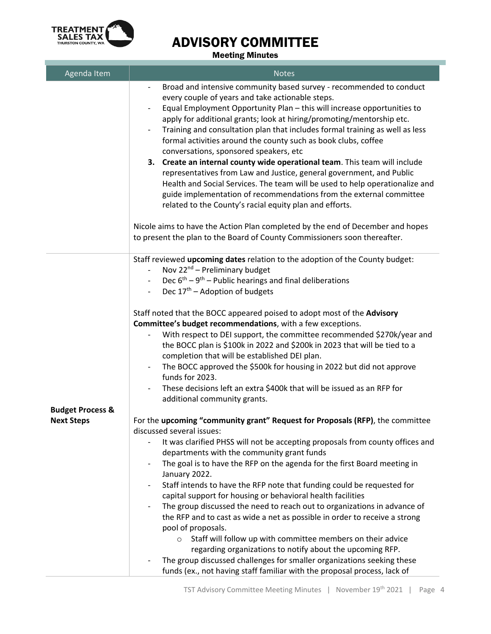

#### Meeting Minutes

| Agenda Item                 | <b>Notes</b>                                                                                                                                                                                                                                                                                                                                                                                                                                                                                                                                                                                                                                                                                                                                                                                                                                                                                                                                                                                                   |
|-----------------------------|----------------------------------------------------------------------------------------------------------------------------------------------------------------------------------------------------------------------------------------------------------------------------------------------------------------------------------------------------------------------------------------------------------------------------------------------------------------------------------------------------------------------------------------------------------------------------------------------------------------------------------------------------------------------------------------------------------------------------------------------------------------------------------------------------------------------------------------------------------------------------------------------------------------------------------------------------------------------------------------------------------------|
|                             | Broad and intensive community based survey - recommended to conduct<br>every couple of years and take actionable steps.<br>Equal Employment Opportunity Plan - this will increase opportunities to<br>apply for additional grants; look at hiring/promoting/mentorship etc.<br>Training and consultation plan that includes formal training as well as less<br>formal activities around the county such as book clubs, coffee<br>conversations, sponsored speakers, etc<br>3. Create an internal county wide operational team. This team will include<br>representatives from Law and Justice, general government, and Public<br>Health and Social Services. The team will be used to help operationalize and<br>guide implementation of recommendations from the external committee<br>related to the County's racial equity plan and efforts.<br>Nicole aims to have the Action Plan completed by the end of December and hopes<br>to present the plan to the Board of County Commissioners soon thereafter. |
|                             | Staff reviewed upcoming dates relation to the adoption of the County budget:<br>Nov $22^{nd}$ – Preliminary budget<br>Dec $6^{th} - 9^{th} -$ Public hearings and final deliberations<br>Dec $17th$ – Adoption of budgets<br>Staff noted that the BOCC appeared poised to adopt most of the Advisory<br>Committee's budget recommendations, with a few exceptions.<br>With respect to DEI support, the committee recommended \$270k/year and<br>the BOCC plan is \$100k in 2022 and \$200k in 2023 that will be tied to a<br>completion that will be established DEI plan.<br>The BOCC approved the \$500k for housing in 2022 but did not approve<br>funds for 2023.<br>These decisions left an extra \$400k that will be issued as an RFP for                                                                                                                                                                                                                                                                |
| <b>Budget Process &amp;</b> | additional community grants.                                                                                                                                                                                                                                                                                                                                                                                                                                                                                                                                                                                                                                                                                                                                                                                                                                                                                                                                                                                   |
| <b>Next Steps</b>           | For the upcoming "community grant" Request for Proposals (RFP), the committee                                                                                                                                                                                                                                                                                                                                                                                                                                                                                                                                                                                                                                                                                                                                                                                                                                                                                                                                  |
|                             | discussed several issues:                                                                                                                                                                                                                                                                                                                                                                                                                                                                                                                                                                                                                                                                                                                                                                                                                                                                                                                                                                                      |
|                             | It was clarified PHSS will not be accepting proposals from county offices and<br>departments with the community grant funds<br>The goal is to have the RFP on the agenda for the first Board meeting in<br>January 2022.<br>Staff intends to have the RFP note that funding could be requested for<br>capital support for housing or behavioral health facilities<br>The group discussed the need to reach out to organizations in advance of<br>the RFP and to cast as wide a net as possible in order to receive a strong<br>pool of proposals.<br>Staff will follow up with committee members on their advice<br>regarding organizations to notify about the upcoming RFP.<br>The group discussed challenges for smaller organizations seeking these<br>funds (ex., not having staff familiar with the proposal process, lack of                                                                                                                                                                            |